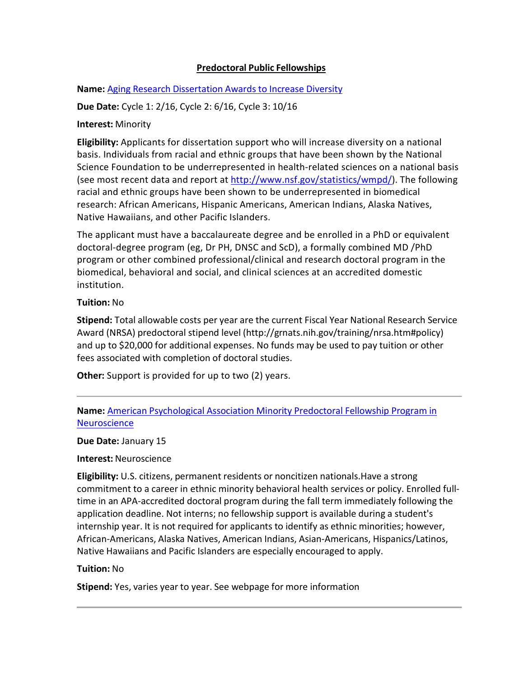## **Predoctoral Public Fellowships**

**Name:** Aging Research [Dissertation](http://grants.nih.gov/grants/guide/pa-files/PAR-13-152.html) Awards to Increase Diversity

**Due Date:** Cycle 1: 2/16, Cycle 2: 6/16, Cycle 3: 10/16

## **Interest:** Minority

**Eligibility:** Applicants for dissertation support who will increase diversity on a national basis. Individuals from racial and ethnic groups that have been shown by the National Science Foundation to be underrepresented in health-related sciences on a national basis (see most recent data and report at [http://www.nsf.gov/statistics/wmpd/\)](http://www.nsf.gov/statistics/wmpd/). The following racial and ethnic groups have been shown to be underrepresented in biomedical research: African Americans, Hispanic Americans, American Indians, Alaska Natives, Native Hawaiians, and other Pacific Islanders.

The applicant must have a baccalaureate degree and be enrolled in a PhD or equivalent doctoral-degree program (eg, Dr PH, DNSC and ScD), a formally combined MD /PhD program or other combined professional/clinical and research doctoral program in the biomedical, behavioral and social, and clinical sciences at an accredited domestic institution.

## **Tuition:** No

**Stipend:** Total allowable costs per year are the current Fiscal Year National Research Service Award (NRSA) predoctoral stipend level [\(http://grnats.nih.gov/training/nrsa.htm#policy\)](http://grnats.nih.gov/training/nrsa.htm#policy)) and up to \$20,000 for additional expenses. No funds may be used to pay tuition or other fees associated with completion of doctoral studies.

**Other:** Support is provided for up to two (2) years.

# **Name:** American [Psychological](http://www.apa.org/pi/mfp/about/index.aspx) Association Minority Predoctoral Fellowship Program in **[Neuroscience](http://www.apa.org/pi/mfp/about/index.aspx)**

**Due Date:** January 15

**Interest:** Neuroscience

**Eligibility:** U.S. citizens, permanent residents or noncitizen nationals.Have a strong commitment to a career in ethnic minority behavioral health services or policy. Enrolled fulltime in an APA-accredited doctoral program during the fall term immediately following the application deadline. Not interns; no fellowship support is available during a student's internship year. It is not required for applicants to identify as ethnic minorities; however, African-Americans, Alaska Natives, American Indians, Asian-Americans, Hispanics/Latinos, Native Hawaiians and Pacific Islanders are especially encouraged to apply.

#### **Tuition:** No

**Stipend:** Yes, varies year to year. See webpage for more information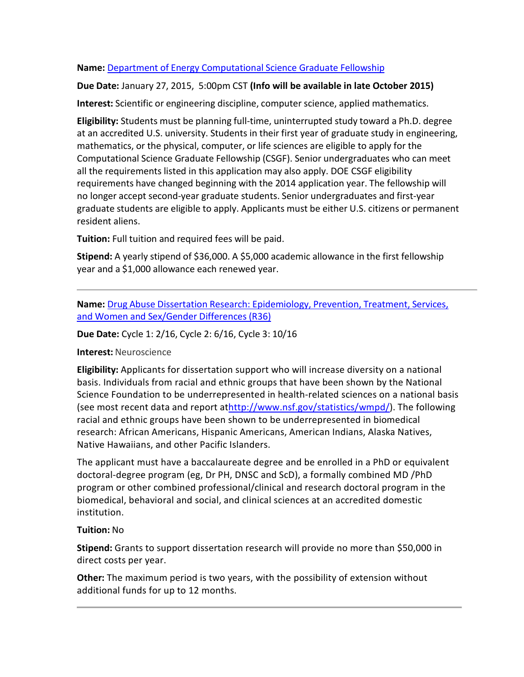# **Name:** Department of Energy [Computational](https://www.krellinst.org/doecsgf/application/) Science Graduate Fellowship

# **Due Date:** January 27, 2015, 5:00pm CST **(Info will be available in late October 2015)**

**Interest:** Scientific or engineering discipline, computer science, applied mathematics.

**Eligibility:** Students must be planning full-time, uninterrupted study toward a Ph.D. degree at an accredited U.S. university. Students in their first year of graduate study in engineering, mathematics, or the physical, computer, or life sciences are eligible to apply for the Computational Science Graduate Fellowship (CSGF). Senior undergraduates who can meet all the requirements listed in this application may also apply. DOE CSGF eligibility requirements have changed beginning with the 2014 application year. The fellowship will no longer accept second-year graduate students. Senior undergraduates and first-year graduate students are eligible to apply. Applicants must be either U.S. citizens or permanent resident aliens.

**Tuition:** Full tuition and required fees will be paid.

**Stipend:** A yearly stipend of \$36,000. A \$5,000 academic allowance in the first fellowship year and a \$1,000 allowance each renewed year.

**Name:** Drug Abuse Dissertation Research: [Epidemiology,](http://grants.nih.gov/grants/guide/pa-files/PAR-13-182.html) Prevention, Treatment, Services, and Women and [Sex/Gender](http://grants.nih.gov/grants/guide/pa-files/PAR-13-182.html) Differences (R36)

**Due Date:** Cycle 1: 2/16, Cycle 2: 6/16, Cycle 3: 10/16

**Interest:** Neuroscience

**Eligibility:** Applicants for dissertation support who will increase diversity on a national basis. Individuals from racial and ethnic groups that have been shown by the National Science Foundation to be underrepresented in health-related sciences on a national basis (see most recent data and report a[thttp://www.nsf.gov/statistics/wmpd/\)](http://www.nsf.gov/statistics/wmpd/). The following racial and ethnic groups have been shown to be underrepresented in biomedical research: African Americans, Hispanic Americans, American Indians, Alaska Natives, Native Hawaiians, and other Pacific Islanders.

The applicant must have a baccalaureate degree and be enrolled in a PhD or equivalent doctoral-degree program (eg, Dr PH, DNSC and ScD), a formally combined MD /PhD program or other combined professional/clinical and research doctoral program in the biomedical, behavioral and social, and clinical sciences at an accredited domestic institution.

# **Tuition:** No

**Stipend:** Grants to support dissertation research will provide no more than \$50,000 in direct costs per year.

**Other:** The maximum period is two years, with the possibility of extension without additional funds for up to 12 months.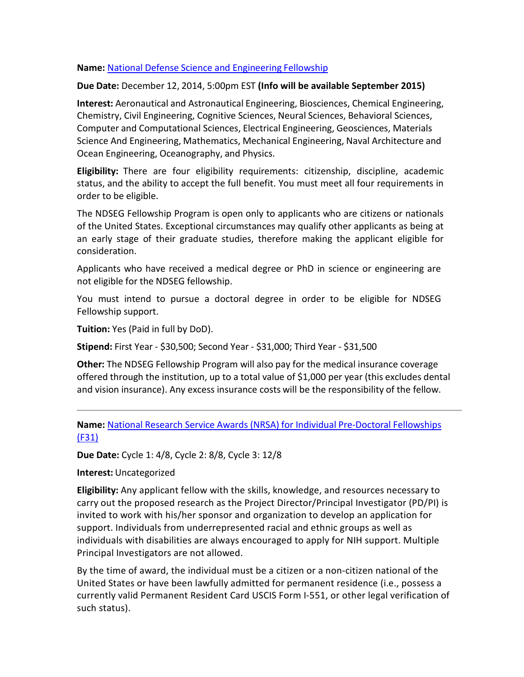### **Name:** National Defense Science and [Engineering](http://ndseg.asee.org/) Fellowship

#### **Due Date:** December 12, 2014, 5:00pm EST **(Info will be available September 2015)**

**Interest:** Aeronautical and Astronautical Engineering, Biosciences, Chemical Engineering, Chemistry, Civil Engineering, Cognitive Sciences, Neural Sciences, Behavioral Sciences, Computer and Computational Sciences, Electrical Engineering, Geosciences, Materials Science And Engineering, Mathematics, Mechanical Engineering, Naval Architecture and Ocean Engineering, Oceanography, and Physics.

**Eligibility:** There are four eligibility requirements: citizenship, discipline, academic status, and the ability to accept the full benefit. You must meet all four requirements in order to be eligible.

The NDSEG Fellowship Program is open only to applicants who are citizens or nationals of the United States. Exceptional circumstances may qualify other applicants as being at an early stage of their graduate studies, therefore making the applicant eligible for consideration.

Applicants who have received a medical degree or PhD in science or engineering are not eligible for the NDSEG fellowship.

You must intend to pursue a doctoral degree in order to be eligible for NDSEG Fellowship support.

**Tuition:** Yes (Paid in full by DoD).

**Stipend:** First Year - \$30,500; Second Year - \$31,000; Third Year - \$31,500

**Other:** The NDSEG Fellowship Program will also pay for the medical insurance coverage offered through the institution, up to a total value of \$1,000 per year (this excludes dental and vision insurance). Any excess insurance costs will be the responsibility of the fellow.

**Name:** National Research Service Awards (NRSA) for Individual [Pre-Doctoral](http://grants.nih.gov/grants/guide/pa-files/PA-11-111.html) Fellowships [\(F31\)](http://grants.nih.gov/grants/guide/pa-files/PA-11-111.html)

**Due Date:** Cycle 1: 4/8, Cycle 2: 8/8, Cycle 3: 12/8

**Interest:** Uncategorized

**Eligibility:** Any applicant fellow with the skills, knowledge, and resources necessary to carry out the proposed research as the Project Director/Principal Investigator (PD/PI) is invited to work with his/her sponsor and organization to develop an application for support. Individuals from underrepresented racial and ethnic groups as well as individuals with disabilities are always encouraged to apply for NIH support. Multiple Principal Investigators are not allowed.

By the time of award, the individual must be a citizen or a non-citizen national of the United States or have been lawfully admitted for permanent residence (i.e., possess a currently valid Permanent Resident Card USCIS Form I-551, or other legal verification of such status).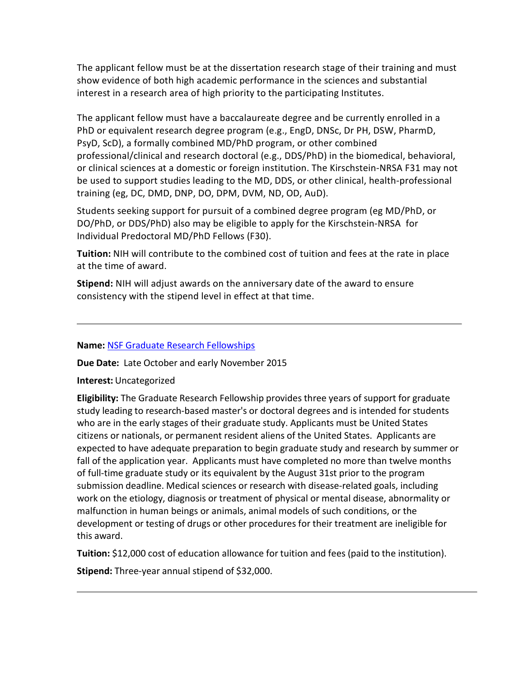The applicant fellow must be at the dissertation research stage of their training and must show evidence of both high academic performance in the sciences and substantial interest in a research area of high priority to the participating Institutes.

The applicant fellow must have a baccalaureate degree and be currently enrolled in a PhD or equivalent research degree program (e.g., EngD, DNSc, Dr PH, DSW, PharmD, PsyD, ScD), a formally combined MD/PhD program, or other combined professional/clinical and research doctoral (e.g., DDS/PhD) in the biomedical, behavioral, or clinical sciences at a domestic or foreign institution. The Kirschstein-NRSA F31 may not be used to support studies leading to the MD, DDS, or other clinical, health-professional training (eg, DC, DMD, DNP, DO, DPM, DVM, ND, OD, AuD).

Students seeking support for pursuit of a combined degree program (eg MD/PhD, or DO/PhD, or DDS/PhD) also may be eligible to apply for the Kirschstein-NRSA for Individual Predoctoral MD/PhD Fellows (F30).

**Tuition:** NIH will contribute to the combined cost of tuition and fees at the rate in place at the time of award.

**Stipend:** NIH will adjust awards on the anniversary date of the award to ensure consistency with the stipend level in effect at that time.

#### **Name:** NSF Graduate Research [Fellowships](http://www.nsfgrfp.org/)

**Due Date:** Late October and early November 2015

#### **Interest:** Uncategorized

**Eligibility:** The Graduate Research Fellowship provides three years of support for graduate study leading to research-based master's or doctoral degrees and is intended for students who are in the early stages of their graduate study. Applicants must be United States citizens or nationals, or permanent resident aliens of the United States. Applicants are expected to have adequate preparation to begin graduate study and research by summer or fall of the application year. Applicants must have completed no more than twelve months of full-time graduate study or its equivalent by the August 31st prior to the program submission deadline. Medical sciences or research with disease-related goals, including work on the etiology, diagnosis or treatment of physical or mental disease, abnormality or malfunction in human beings or animals, animal models of such conditions, or the development or testing of drugs or other procedures for their treatment are ineligible for this award.

**Tuition:** \$12,000 cost of education allowance for tuition and fees (paid to the institution). **Stipend:** Three-year annual stipend of \$32,000.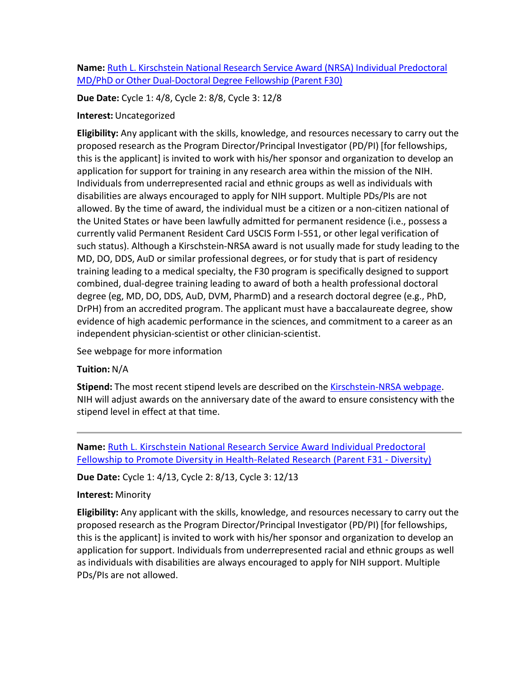# **Name:** Ruth L. Kirschstein National Research Service Award (NRSA) Individual [Predoctoral](http://grants.nih.gov/grants/guide/pa-files/PA-14-150.html) MD/PhD or Other [Dual-Doctoral](http://grants.nih.gov/grants/guide/pa-files/PA-14-150.html) Degree Fellowship (Parent F30)

**Due Date:** Cycle 1: 4/8, Cycle 2: 8/8, Cycle 3: 12/8

## **Interest:** Uncategorized

**Eligibility:** Any applicant with the skills, knowledge, and resources necessary to carry out the proposed research as the Program Director/Principal Investigator (PD/PI) [for fellowships, this is the applicant] is invited to work with his/her sponsor and organization to develop an application for support for training in any research area within the mission of the NIH. Individuals from underrepresented racial and ethnic groups as well as individuals with disabilities are always encouraged to apply for NIH support. Multiple PDs/PIs are not allowed. By the time of award, the individual must be a citizen or a non-citizen national of the United States or have been lawfully admitted for permanent residence (i.e., possess a currently valid Permanent Resident Card USCIS Form I-551, or other legal verification of such status). Although a Kirschstein-NRSA award is not usually made for study leading to the MD, DO, DDS, AuD or similar professional degrees, or for study that is part of residency training leading to a medical specialty, the F30 program is specifically designed to support combined, dual-degree training leading to award of both a health professional doctoral degree (eg, MD, DO, DDS, AuD, DVM, PharmD) and a research doctoral degree (e.g., PhD, DrPH) from an accredited program. The applicant must have a baccalaureate degree, show evidence of high academic performance in the sciences, and commitment to a career as an independent physician-scientist or other clinician-scientist.

See webpage for more information

# **Tuition:** N/A

**Stipend:** The most recent stipend levels are described on the [Kirschstein-NRSA](http://grants.nih.gov/training/nrsa.htm#stipends) webpage. NIH will adjust awards on the anniversary date of the award to ensure consistency with the stipend level in effect at that time.

**Name:** Ruth L. Kirschstein National Research Service Award Individual [Predoctoral](http://grants.nih.gov/grants/guide/pa-files/PA-14-148.html) Fellowship to Promote Diversity in [Health-Related](http://grants.nih.gov/grants/guide/pa-files/PA-14-148.html) Research (Parent F31 - Diversity)

**Due Date:** Cycle 1: 4/13, Cycle 2: 8/13, Cycle 3: 12/13

#### **Interest:** Minority

**Eligibility:** Any applicant with the skills, knowledge, and resources necessary to carry out the proposed research as the Program Director/Principal Investigator (PD/PI) [for fellowships, this is the applicant] is invited to work with his/her sponsor and organization to develop an application for support. Individuals from underrepresented racial and ethnic groups as well as individuals with disabilities are always encouraged to apply for NIH support. Multiple PDs/PIs are not allowed.